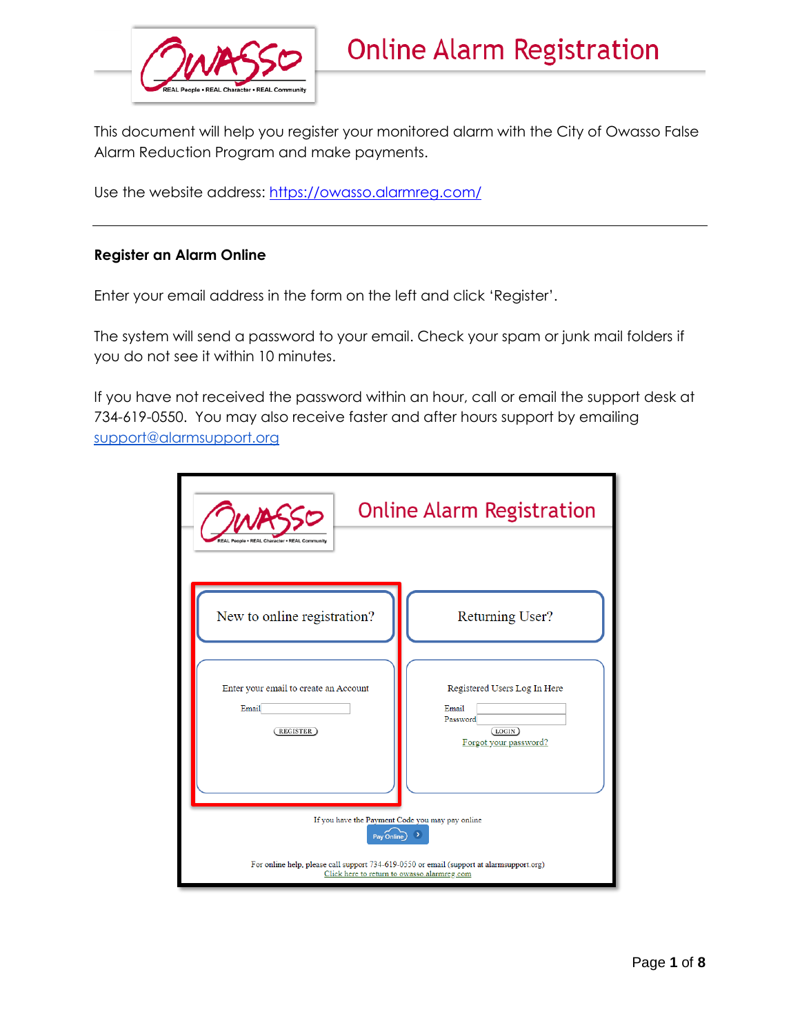

This document will help you register your monitored alarm with the City of Owasso False Alarm Reduction Program and make payments.

Use the website address: <https://owasso.alarmreg.com/>

#### **Register an Alarm Online**

Enter your email address in the form on the left and click 'Register'.

The system will send a password to your email. Check your spam or junk mail folders if you do not see it within 10 minutes.

If you have not received the password within an hour, call or email the support desk at 734-619-0550. You may also receive faster and after hours support by emailing [support@alarmsupport.org](mailto:support@alarmsupport.org)

| Character . REAL Community                                                                                                                                                                               | <b>Online Alarm Registration</b>                                                            |  |  |  |
|----------------------------------------------------------------------------------------------------------------------------------------------------------------------------------------------------------|---------------------------------------------------------------------------------------------|--|--|--|
| New to online registration?                                                                                                                                                                              | Returning User?                                                                             |  |  |  |
| Enter your email to create an Account<br>Email<br><b>REGISTER</b>                                                                                                                                        | Registered Users Log In Here<br>Email<br>Password<br>$($ LOGIN $)$<br>Forgot your password? |  |  |  |
| If you have the Payment Code you may pay online<br>Pay Online<br>For online help, please call support 734-619-0550 or email (support at alarmsupport.org)<br>Click here to return to owasso.alarmreg.com |                                                                                             |  |  |  |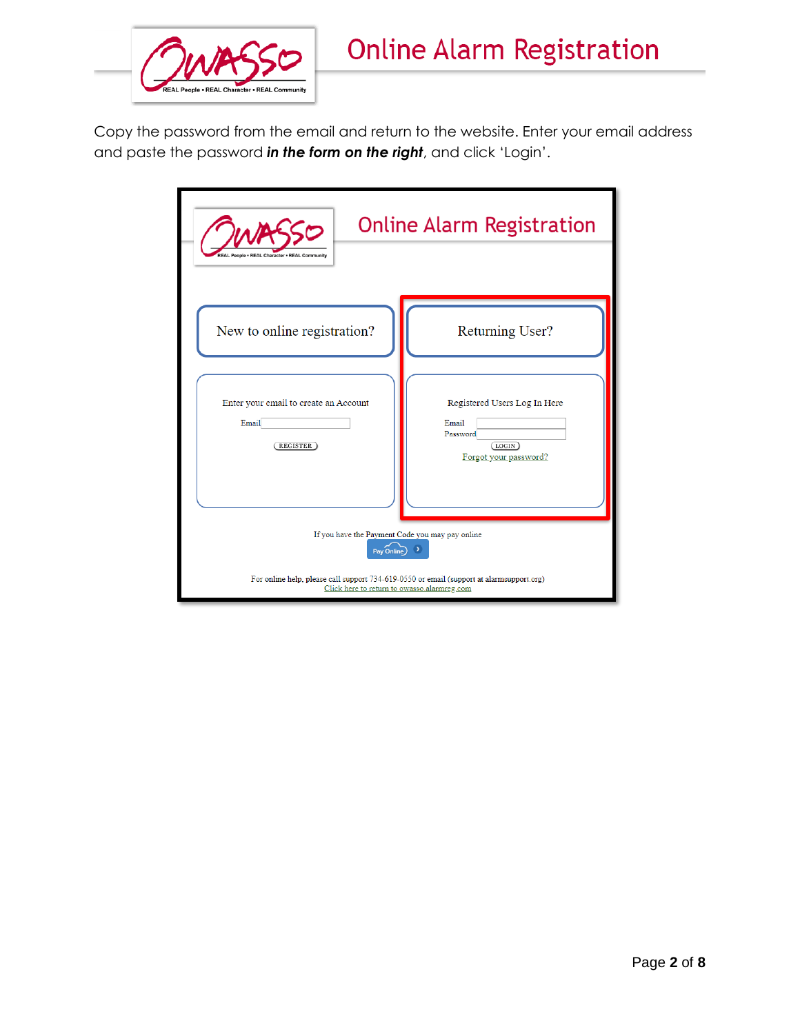

Copy the password from the email and return to the website. Enter your email address and paste the password *in the form on the right*, and click 'Login'.

| Character . REAL Community                                                                                                                                                                               | <b>Online Alarm Registration</b>                                                            |  |  |  |
|----------------------------------------------------------------------------------------------------------------------------------------------------------------------------------------------------------|---------------------------------------------------------------------------------------------|--|--|--|
| New to online registration?                                                                                                                                                                              | Returning User?                                                                             |  |  |  |
| Enter your email to create an Account<br>Email<br><b>REGISTER</b>                                                                                                                                        | Registered Users Log In Here<br>Email<br>Password<br>$($ LOGIN $)$<br>Forgot your password? |  |  |  |
| If you have the Payment Code you may pay online<br>Pay Online<br>For online help, please call support 734-619-0550 or email (support at alarmsupport.org)<br>Click here to return to owasso.alarmreg.com |                                                                                             |  |  |  |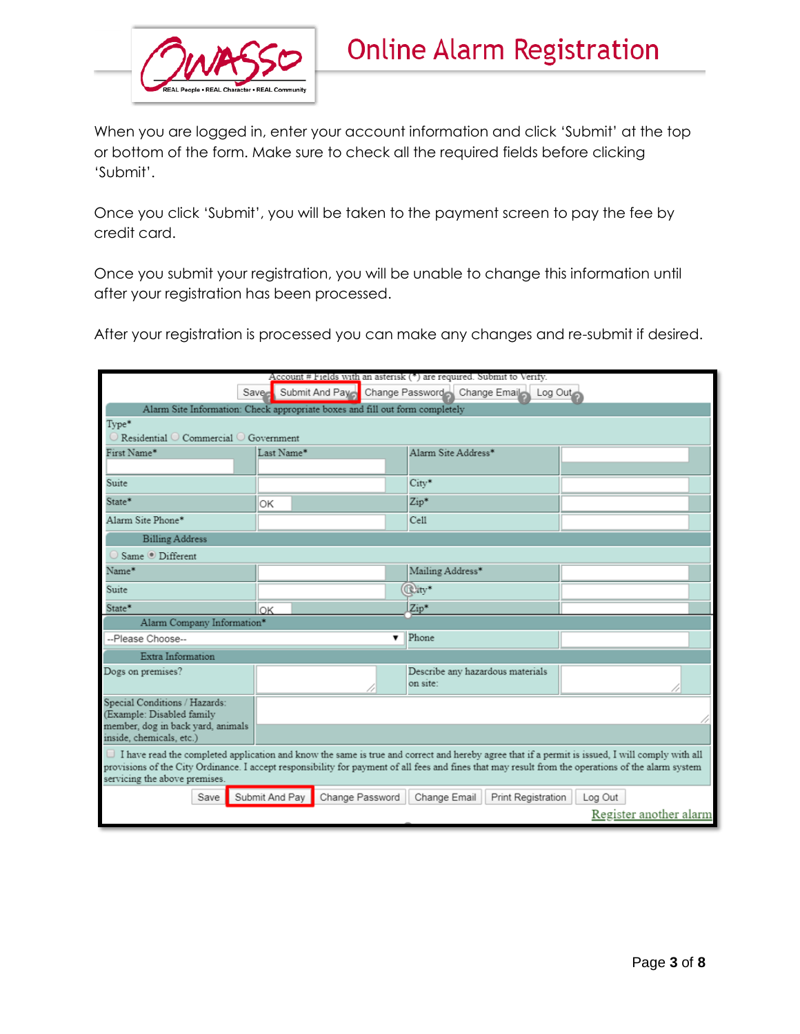

When you are logged in, enter your account information and click 'Submit' at the top or bottom of the form. Make sure to check all the required fields before clicking 'Submit'.

Once you click 'Submit', you will be taken to the payment screen to pay the fee by credit card.

Once you submit your registration, you will be unable to change this information until after your registration has been processed.

After your registration is processed you can make any changes and re-submit if desired.

| Account # Fields with an asterisk (*) are required. Submit to Verify.                                                                                                                                                                                                                                                                          |                |                          |                                                            |         |
|------------------------------------------------------------------------------------------------------------------------------------------------------------------------------------------------------------------------------------------------------------------------------------------------------------------------------------------------|----------------|--------------------------|------------------------------------------------------------|---------|
|                                                                                                                                                                                                                                                                                                                                                |                |                          | Save Submit And Payer Change Password Change Email Log Out |         |
| Alarm Site Information: Check appropriate boxes and fill out form completely                                                                                                                                                                                                                                                                   |                |                          |                                                            |         |
| Type*                                                                                                                                                                                                                                                                                                                                          |                |                          |                                                            |         |
| Residential $\bigcirc$ Commercial $\bigcirc$ Government                                                                                                                                                                                                                                                                                        |                |                          |                                                            |         |
| First Name*                                                                                                                                                                                                                                                                                                                                    | Last Name*     |                          | Alarm Site Address*                                        |         |
| Suite                                                                                                                                                                                                                                                                                                                                          |                |                          | $Citv*$                                                    |         |
| State*                                                                                                                                                                                                                                                                                                                                         | OK             |                          | $\mathrm{Zip}^*$                                           |         |
| Alarm Site Phone*                                                                                                                                                                                                                                                                                                                              |                |                          | Ce11                                                       |         |
| <b>Billing Address</b>                                                                                                                                                                                                                                                                                                                         |                |                          |                                                            |         |
| Same <sup>O</sup> Different                                                                                                                                                                                                                                                                                                                    |                |                          |                                                            |         |
| Name*                                                                                                                                                                                                                                                                                                                                          |                |                          | Mailing Address*                                           |         |
| Suite                                                                                                                                                                                                                                                                                                                                          |                |                          | <b>Rity*</b>                                               |         |
| State*                                                                                                                                                                                                                                                                                                                                         | lок            |                          | $Zip*$                                                     |         |
| Alarm Company Information*                                                                                                                                                                                                                                                                                                                     |                |                          |                                                            |         |
| --Please Choose--                                                                                                                                                                                                                                                                                                                              |                | $\overline{\phantom{a}}$ | Phone                                                      |         |
| Extra Information                                                                                                                                                                                                                                                                                                                              |                |                          |                                                            |         |
| Dogs on premises?                                                                                                                                                                                                                                                                                                                              |                |                          | Describe any hazardous materials<br>on site:               |         |
| Special Conditions / Hazards:<br>(Example: Disabled family<br>member, dog in back yard, animals<br>inside, chemicals, etc.)                                                                                                                                                                                                                    |                |                          |                                                            |         |
| $\Box$ I have read the completed application and know the same is true and correct and hereby agree that if a permit is issued. I will comply with all<br>provisions of the City Ordinance. I accept responsibility for payment of all fees and fines that may result from the operations of the alarm system<br>servicing the above premises. |                |                          |                                                            |         |
| Save                                                                                                                                                                                                                                                                                                                                           | Submit And Pay | Change Password          | Change Email<br><b>Print Registration</b>                  | Log Out |
| Register another alarm                                                                                                                                                                                                                                                                                                                         |                |                          |                                                            |         |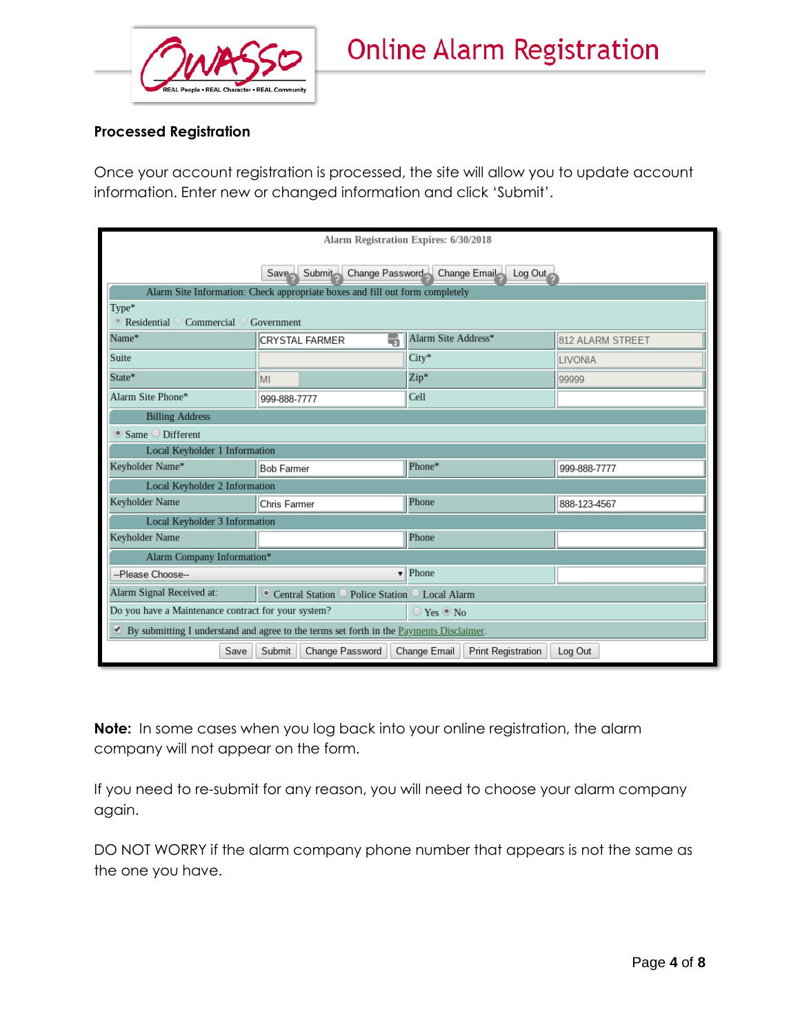



## **Processed Registration**

Once your account registration is processed, the site will allow you to update account information. Enter new or changed information and click 'Submit'.

| Alarm Registration Expires: 6/30/2018                                                     |                                                                              |                     |                  |  |
|-------------------------------------------------------------------------------------------|------------------------------------------------------------------------------|---------------------|------------------|--|
| Submit Change Password Change Email<br>Log Out<br>Save                                    |                                                                              |                     |                  |  |
|                                                                                           | Alarm Site Information: Check appropriate boxes and fill out form completely |                     |                  |  |
| Type*<br>Residential<br>Commercial                                                        | Government                                                                   |                     |                  |  |
| Name*                                                                                     | 뼇<br><b>CRYSTAL FARMER</b>                                                   | Alarm Site Address* | 812 ALARM STREET |  |
| Suite                                                                                     |                                                                              | City*               | LIVONIA          |  |
| State*                                                                                    | MI                                                                           | Zip*                | 99999            |  |
| Alarm Site Phone*                                                                         | 999-888-7777                                                                 | Cell                |                  |  |
| <b>Billing Address</b>                                                                    |                                                                              |                     |                  |  |
| $\odot$ Same $\odot$ Different                                                            |                                                                              |                     |                  |  |
| Local Keyholder 1 Information                                                             |                                                                              |                     |                  |  |
| Keyholder Name*                                                                           | Phone*<br><b>Bob Farmer</b><br>999-888-7777                                  |                     |                  |  |
| Local Keyholder 2 Information                                                             |                                                                              |                     |                  |  |
| Keyholder Name                                                                            | Chris Farmer                                                                 | Phone               | 888-123-4567     |  |
| Local Keyholder 3 Information                                                             |                                                                              |                     |                  |  |
| Keyholder Name                                                                            | Phone                                                                        |                     |                  |  |
| Alarm Company Information*                                                                |                                                                              |                     |                  |  |
| Phone<br>--Please Choose--<br>$\overline{\mathbf{v}}$                                     |                                                                              |                     |                  |  |
| Alarm Signal Received at:<br>Central Station<br>Police Station C Local Alarm              |                                                                              |                     |                  |  |
| Do you have a Maintenance contract for your system?<br>$\bigcirc$ Yes $\circledcirc$ No   |                                                                              |                     |                  |  |
| By submitting I understand and agree to the terms set forth in the Payments Disclaimer.   |                                                                              |                     |                  |  |
| Change Password<br><b>Print Registration</b><br>Submit<br>Change Email<br>Log Out<br>Save |                                                                              |                     |                  |  |

**Note:** In some cases when you log back into your online registration, the alarm company will not appear on the form.

If you need to re-submit for any reason, you will need to choose your alarm company again.

DO NOT WORRY if the alarm company phone number that appears is not the same as the one you have.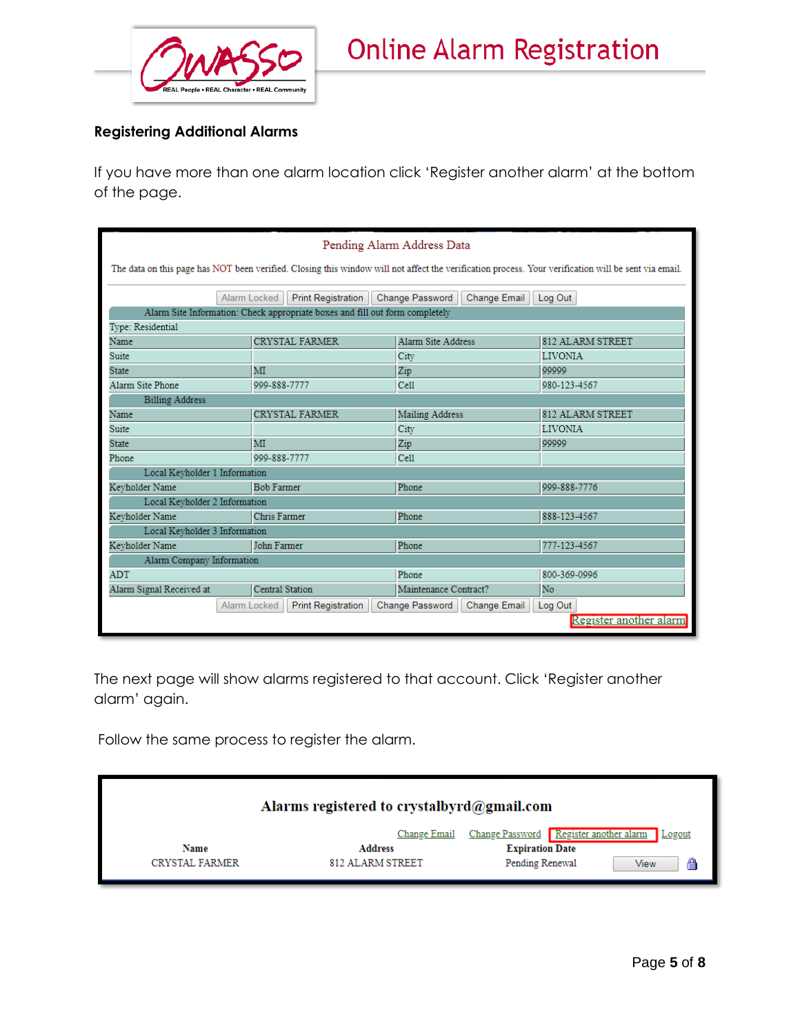

## **Registering Additional Alarms**

If you have more than one alarm location click 'Register another alarm' at the bottom of the page.

| Pending Alarm Address Data                                                   |                                                                                                                                                      |                           |       |                           |              |                         |
|------------------------------------------------------------------------------|------------------------------------------------------------------------------------------------------------------------------------------------------|---------------------------|-------|---------------------------|--------------|-------------------------|
|                                                                              | The data on this page has NOT been verified. Closing this window will not affect the verification process. Your verification will be sent via email. |                           |       |                           |              |                         |
|                                                                              | Alarm Locked                                                                                                                                         | <b>Print Registration</b> |       | Change Password           | Change Email | Log Out                 |
| Alarm Site Information: Check appropriate boxes and fill out form completely |                                                                                                                                                      |                           |       |                           |              |                         |
| Type: Residential                                                            |                                                                                                                                                      |                           |       |                           |              |                         |
| Name                                                                         |                                                                                                                                                      | <b>CRYSTAL FARMER</b>     |       | <b>Alarm Site Address</b> |              | <b>812 ALARM STREET</b> |
| <b>Suite</b>                                                                 |                                                                                                                                                      |                           |       | City                      |              | <b>LIVONIA</b>          |
| <b>State</b>                                                                 | MI                                                                                                                                                   |                           |       | Zip                       |              | 99999                   |
| Alarm Site Phone                                                             | 999-888-7777                                                                                                                                         |                           |       | Cell                      |              | 980-123-4567            |
| <b>Billing Address</b>                                                       |                                                                                                                                                      |                           |       |                           |              |                         |
| Name                                                                         |                                                                                                                                                      | <b>CRYSTAL FARMER</b>     |       | <b>Mailing Address</b>    |              | <b>812 ALARM STREET</b> |
| Suite                                                                        |                                                                                                                                                      |                           |       | City                      |              | <b>LIVONIA</b>          |
| <b>State</b>                                                                 | МĪ                                                                                                                                                   |                           |       | Zip                       |              | 99999                   |
| Phone                                                                        | 999-888-7777                                                                                                                                         |                           |       | Cell                      |              |                         |
| Local Keyholder 1 Information                                                |                                                                                                                                                      |                           |       |                           |              |                         |
| Keyholder Name<br><b>Bob Farmer</b>                                          |                                                                                                                                                      |                           |       | Phone                     |              | 999-888-7776            |
| Local Keyholder 2 Information                                                |                                                                                                                                                      |                           |       |                           |              |                         |
| Keyholder Name                                                               |                                                                                                                                                      | Chris Farmer              |       | Phone                     |              | 888-123-4567            |
| Local Keyholder 3 Information                                                |                                                                                                                                                      |                           |       |                           |              |                         |
| Keyholder Name                                                               |                                                                                                                                                      | John Farmer               |       | Phone                     |              | 777-123-4567            |
| Alarm Company Information                                                    |                                                                                                                                                      |                           |       |                           |              |                         |
| <b>ADT</b>                                                                   |                                                                                                                                                      |                           | Phone |                           | 800-369-0996 |                         |
| Alarm Signal Received at                                                     | <b>Central Station</b>                                                                                                                               |                           |       | Maintenance Contract?     |              | No                      |
|                                                                              | <b>Print Registration</b><br>Alarm Locked                                                                                                            |                           |       | Change Password           | Change Email | Log Out                 |
|                                                                              |                                                                                                                                                      |                           |       |                           |              | Register another alarm  |

The next page will show alarms registered to that account. Click 'Register another alarm' again.

Follow the same process to register the alarm.

|                       | Alarms registered to crystalbyrd@gmail.com |                                        |           |
|-----------------------|--------------------------------------------|----------------------------------------|-----------|
|                       | Change Email                               | Change Password Register another alarm | .ogout    |
| Name                  | <b>Address</b>                             | <b>Expiration Date</b>                 |           |
| <b>CRYSTAL FARMER</b> | 812 ALARM STREET                           | Pending Renewal                        | e<br>View |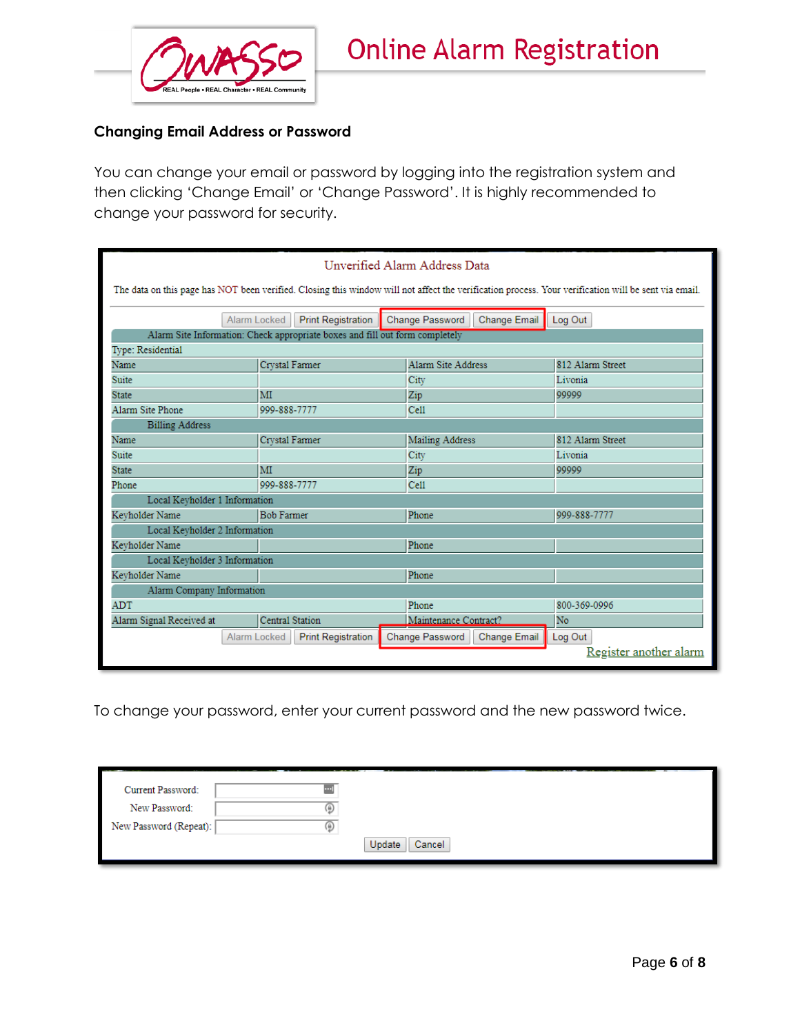

## **Changing Email Address or Password**

You can change your email or password by logging into the registration system and then clicking 'Change Email' or 'Change Password'. It is highly recommended to change your password for security.

| Unverified Alarm Address Data |                                                                                                                                                      |     |                           |              |                  |  |
|-------------------------------|------------------------------------------------------------------------------------------------------------------------------------------------------|-----|---------------------------|--------------|------------------|--|
|                               | The data on this page has NOT been verified. Closing this window will not affect the verification process. Your verification will be sent via email. |     |                           |              |                  |  |
|                               | <b>Print Registration</b><br><b>Change Email</b><br>Alarm Locked<br>Change Password<br>Log Out                                                       |     |                           |              |                  |  |
|                               | Alarm Site Information: Check appropriate boxes and fill out form completely                                                                         |     |                           |              |                  |  |
| Type: Residential             |                                                                                                                                                      |     |                           |              |                  |  |
| Name                          | <b>Crystal Farmer</b>                                                                                                                                |     | <b>Alarm Site Address</b> |              | 812 Alarm Street |  |
| Suite                         |                                                                                                                                                      |     | City                      |              | Livonia          |  |
| <b>State</b>                  | MI                                                                                                                                                   | Zip |                           |              | 99999            |  |
| <b>Alarm Site Phone</b>       | 999-888-7777                                                                                                                                         |     | Cell                      |              |                  |  |
| <b>Billing Address</b>        |                                                                                                                                                      |     |                           |              |                  |  |
| Name                          | <b>Crystal Farmer</b>                                                                                                                                |     | Mailing Address           |              | 812 Alarm Street |  |
| <b>Suite</b>                  |                                                                                                                                                      |     | City                      |              | Livonia          |  |
| <b>State</b>                  | МІ                                                                                                                                                   |     | Zip                       |              | 99999            |  |
| Phone                         | 999-888-7777                                                                                                                                         |     | Cell                      |              |                  |  |
| Local Keyholder 1 Information |                                                                                                                                                      |     |                           |              |                  |  |
| Keyholder Name                | <b>Bob Farmer</b>                                                                                                                                    |     | Phone                     |              | 999-888-7777     |  |
| Local Keyholder 2 Information |                                                                                                                                                      |     |                           |              |                  |  |
| Keyholder Name                |                                                                                                                                                      |     | Phone                     |              |                  |  |
| Local Keyholder 3 Information |                                                                                                                                                      |     |                           |              |                  |  |
| Keyholder Name                |                                                                                                                                                      |     | Phone                     |              |                  |  |
| Alarm Company Information     |                                                                                                                                                      |     |                           |              |                  |  |
| <b>ADT</b>                    |                                                                                                                                                      |     |                           |              | 800-369-0996     |  |
| Alarm Signal Received at      | <b>Central Station</b>                                                                                                                               |     | Maintenance Contract?     |              | No               |  |
|                               | <b>Print Registration</b><br>Change Password<br>Alarm Locked                                                                                         |     |                           | Change Email | Log Out          |  |
| Register another alarm        |                                                                                                                                                      |     |                           |              |                  |  |

To change your password, enter your current password and the new password twice.

| Current Password:      |                  |
|------------------------|------------------|
| New Password:          |                  |
| New Password (Repeat): |                  |
|                        | Update<br>Cancel |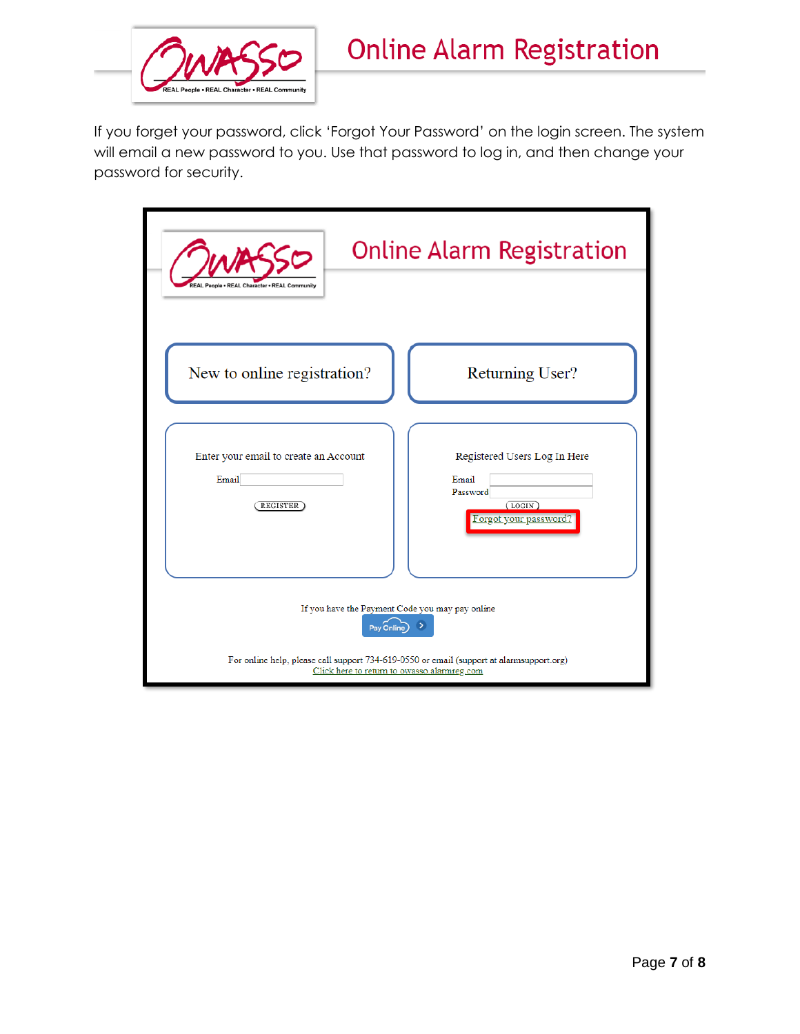

If you forget your password, click 'Forgot Your Password' on the login screen. The system will email a new password to you. Use that password to log in, and then change your password for security.

| <b>Character . REAL Community</b>                                                                                                       | <b>Online Alarm Registration</b>                                                                   |  |  |  |
|-----------------------------------------------------------------------------------------------------------------------------------------|----------------------------------------------------------------------------------------------------|--|--|--|
| New to online registration?                                                                                                             | Returning User?                                                                                    |  |  |  |
| Enter your email to create an Account<br>Email<br><b>REGISTER</b>                                                                       | Registered Users Log In Here<br>Email<br>Password<br>$($ LOGIN $)$<br><u>Forgot your password?</u> |  |  |  |
| If you have the Payment Code you may pay online<br>Pay Online                                                                           |                                                                                                    |  |  |  |
| For online help, please call support 734-619-0550 or email (support at alarmsupport.org)<br>Click here to return to owasso.alarmreg.com |                                                                                                    |  |  |  |